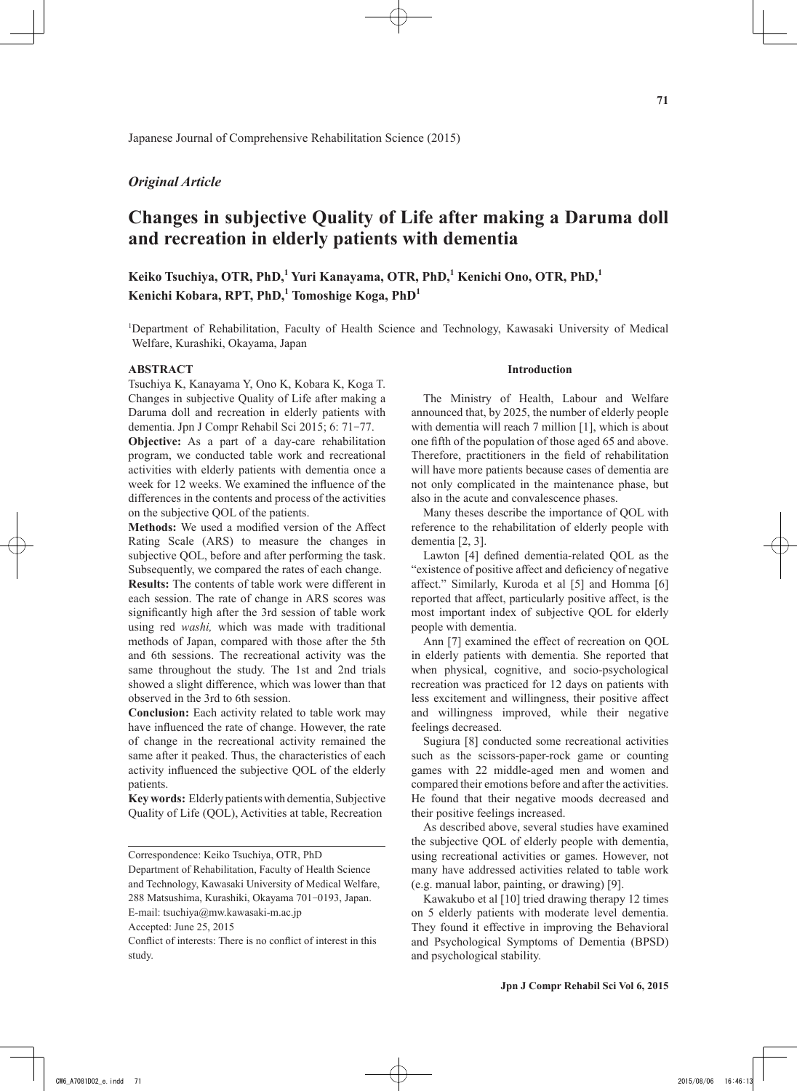# *Original Article*

# **Changes in subjective Quality of Life after making a Daruma doll and recreation in elderly patients with dementia**

**Keiko Tsuchiya, OTR, PhD,<sup>1</sup> Yuri Kanayama, OTR, PhD,1 Kenichi Ono, OTR, PhD,1 Kenichi Kobara, RPT, PhD,<sup>1</sup> Tomoshige Koga, PhD<sup>1</sup>**

1 Department of Rehabilitation, Faculty of Health Science and Technology, Kawasaki University of Medical Welfare, Kurashiki, Okayama, Japan

#### **ABSTRACT**

Tsuchiya K, Kanayama Y, Ono K, Kobara K, Koga T. Changes in subjective Quality of Life after making a Daruma doll and recreation in elderly patients with dementia. Jpn J Compr Rehabil Sci 2015; 6: 71-77.

**Objective:** As a part of a day-care rehabilitation program, we conducted table work and recreational activities with elderly patients with dementia once a week for 12 weeks. We examined the influence of the differences in the contents and process of the activities on the subjective QOL of the patients.

**Methods:** We used a modified version of the Affect Rating Scale (ARS) to measure the changes in subjective QOL, before and after performing the task. Subsequently, we compared the rates of each change.

**Results:** The contents of table work were different in each session. The rate of change in ARS scores was significantly high after the 3rd session of table work using red *washi,* which was made with traditional methods of Japan, compared with those after the 5th and 6th sessions. The recreational activity was the same throughout the study. The 1st and 2nd trials showed a slight difference, which was lower than that observed in the 3rd to 6th session.

**Conclusion:** Each activity related to table work may have influenced the rate of change. However, the rate of change in the recreational activity remained the same after it peaked. Thus, the characteristics of each activity influenced the subjective QOL of the elderly patients.

**Key words:** Elderly patients with dementia, Subjective Quality of Life (QOL), Activities at table, Recreation

Department of Rehabilitation, Faculty of Health Science and Technology, Kawasaki University of Medical Welfare, 288 Matsushima, Kurashiki, Okayama 701-0193, Japan.

E-mail: tsuchiya@mw.kawasaki-m.ac.jp

Conflict of interests: There is no conflict of interest in this study.

#### **Introduction**

The Ministry of Health, Labour and Welfare announced that, by 2025, the number of elderly people with dementia will reach 7 million [1], which is about one fifth of the population of those aged 65 and above. Therefore, practitioners in the field of rehabilitation will have more patients because cases of dementia are not only complicated in the maintenance phase, but also in the acute and convalescence phases.

Many theses describe the importance of QOL with reference to the rehabilitation of elderly people with dementia [2, 3].

Lawton [4] defined dementia-related QOL as the "existence of positive affect and deficiency of negative affect." Similarly, Kuroda et al [5] and Homma [6] reported that affect, particularly positive affect, is the most important index of subjective QOL for elderly people with dementia.

Ann [7] examined the effect of recreation on QOL in elderly patients with dementia. She reported that when physical, cognitive, and socio-psychological recreation was practiced for 12 days on patients with less excitement and willingness, their positive affect and willingness improved, while their negative feelings decreased.

Sugiura [8] conducted some recreational activities such as the scissors-paper-rock game or counting games with 22 middle-aged men and women and compared their emotions before and after the activities. He found that their negative moods decreased and their positive feelings increased.

As described above, several studies have examined the subjective QOL of elderly people with dementia, using recreational activities or games. However, not many have addressed activities related to table work (e.g. manual labor, painting, or drawing) [9].

Kawakubo et al [10] tried drawing therapy 12 times on 5 elderly patients with moderate level dementia. They found it effective in improving the Behavioral and Psychological Symptoms of Dementia (BPSD) and psychological stability.

Correspondence: Keiko Tsuchiya, OTR, PhD

Accepted: June 25, 2015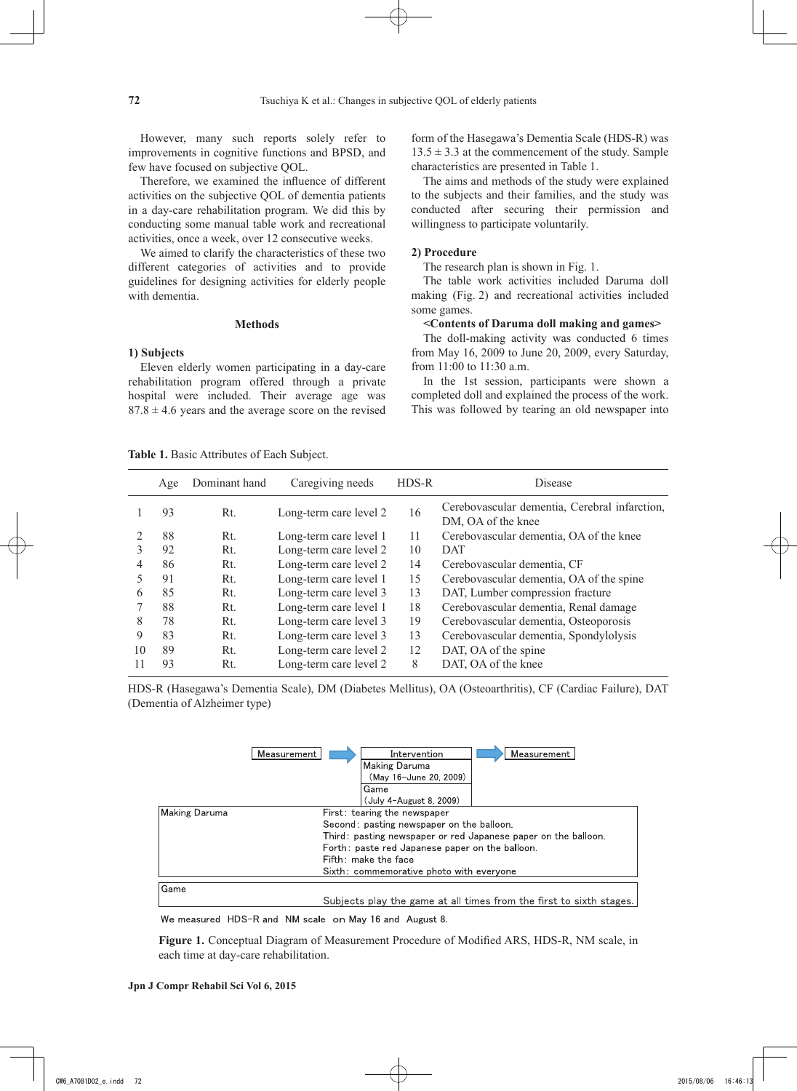However, many such reports solely refer to improvements in cognitive functions and BPSD, and few have focused on subjective QOL.

Therefore, we examined the influence of different activities on the subjective QOL of dementia patients in a day-care rehabilitation program. We did this by conducting some manual table work and recreational activities, once a week, over 12 consecutive weeks.

We aimed to clarify the characteristics of these two different categories of activities and to provide guidelines for designing activities for elderly people with dementia.

#### **Methods**

## **1) Subjects**

Eleven elderly women participating in a day-care rehabilitation program offered through a private hospital were included. Their average age was  $87.8 \pm 4.6$  years and the average score on the revised form of the Hasegawa's Dementia Scale (HDS-R) was  $13.5 \pm 3.3$  at the commencement of the study. Sample characteristics are presented in Table 1.

The aims and methods of the study were explained to the subjects and their families, and the study was conducted after securing their permission and willingness to participate voluntarily.

## **2) Procedure**

The research plan is shown in Fig. 1.

The table work activities included Daruma doll making (Fig. 2) and recreational activities included some games.

## **<Contents of Daruma doll making and games>**

The doll-making activity was conducted 6 times from May 16, 2009 to June 20, 2009, every Saturday, from 11:00 to 11:30 a.m.

In the 1st session, participants were shown a completed doll and explained the process of the work. This was followed by tearing an old newspaper into

**Table 1.** Basic Attributes of Each Subject.

|    | Age | Dominant hand | Caregiving needs       | HDS-R | <b>Disease</b>                                                      |
|----|-----|---------------|------------------------|-------|---------------------------------------------------------------------|
|    | 93  | Rt.           | Long-term care level 2 | 16    | Cerebovascular dementia, Cerebral infarction,<br>DM, OA of the knee |
|    | 88  | Rt.           | Long-term care level 1 | 11    | Cerebovascular dementia, OA of the knee                             |
| 3  | 92  | Rt.           | Long-term care level 2 | 10    | <b>DAT</b>                                                          |
| 4  | 86  | Rt.           | Long-term care level 2 | 14    | Cerebovascular dementia, CF                                         |
|    | 91  | Rt.           | Long-term care level 1 | 15    | Cerebovascular dementia, OA of the spine                            |
| 6  | 85  | Rt.           | Long-term care level 3 | 13    | DAT, Lumber compression fracture                                    |
|    | 88  | Rt.           | Long-term care level 1 | 18    | Cerebovascular dementia, Renal damage                               |
| 8  | 78  | Rt.           | Long-term care level 3 | 19    | Cerebovascular dementia, Osteoporosis                               |
| 9  | 83  | Rt.           | Long-term care level 3 | 13    | Cerebovascular dementia, Spondylolysis                              |
| 10 | 89  | Rt.           | Long-term care level 2 | 12    | DAT, OA of the spine                                                |
|    | 93  | Rt.           | Long-term care level 2 | 8     | DAT, OA of the knee                                                 |
|    |     |               |                        |       |                                                                     |

HDS-R (Hasegawa's Dementia Scale), DM (Diabetes Mellitus), OA (Osteoarthritis), CF (Cardiac Failure), DAT (Dementia of Alzheimer type)

|               | Measurement<br>Intervention<br>Measurement<br>Making Daruma<br>(May 16-June 20, 2009)<br>Game<br>(July 4-August 8, 2009)                                                                                                                                           |
|---------------|--------------------------------------------------------------------------------------------------------------------------------------------------------------------------------------------------------------------------------------------------------------------|
| Making Daruma | First: tearing the newspaper<br>Second: pasting newspaper on the balloon.<br>Third: pasting newspaper or red Japanese paper on the balloon.<br>Forth: paste red Japanese paper on the balloon.<br>Fifth: make the face<br>Sixth: commemorative photo with everyone |
| Game          | Subjects play the game at all times from the first to sixth stages.                                                                                                                                                                                                |

We measured HDS-R and NM scale on May 16 and August 8.

**Figure 1.** Conceptual Diagram of Measurement Procedure of Modified ARS, HDS-R, NM scale, in each time at day-care rehabilitation.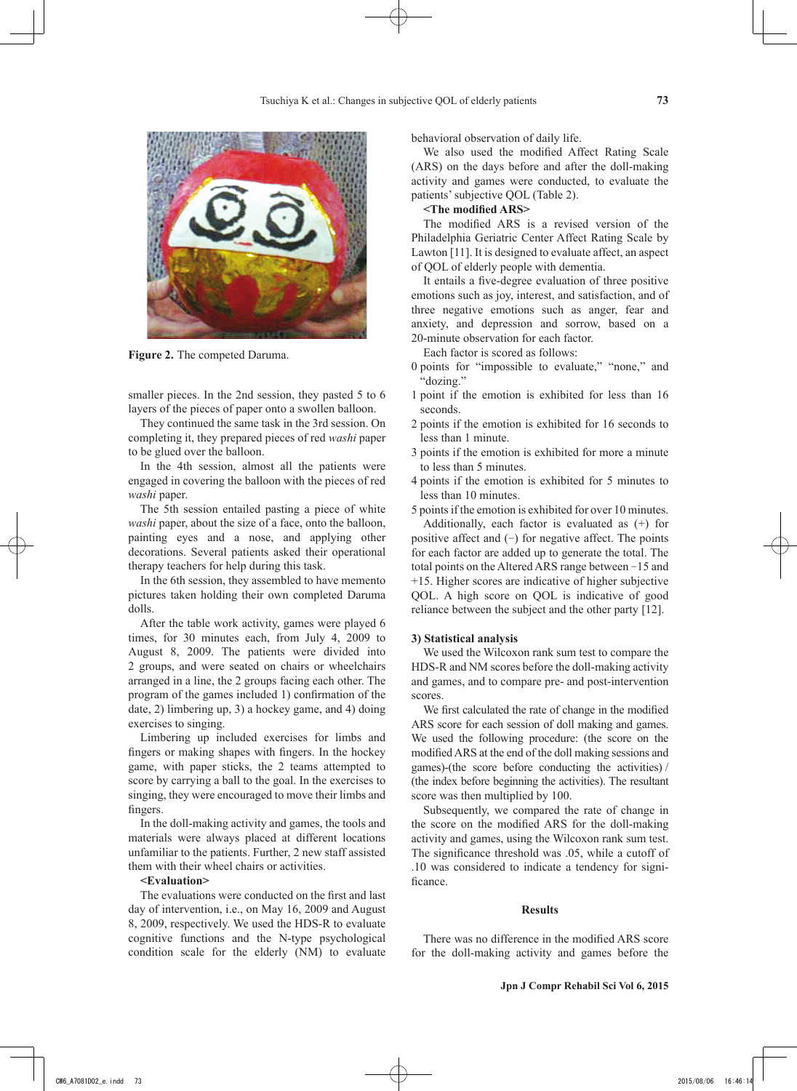

**Figure 2.** The competed Daruma.

smaller pieces. In the 2nd session, they pasted 5 to 6 layers of the pieces of paper onto a swollen balloon.

They continued the same task in the 3rd session. On completing it, they prepared pieces of red *washi* paper to be glued over the balloon.

In the 4th session, almost all the patients were engaged in covering the balloon with the pieces of red *washi* paper.

The 5th session entailed pasting a piece of white *washi* paper, about the size of a face, onto the balloon, painting eyes and a nose, and applying other decorations. Several patients asked their operational therapy teachers for help during this task.

In the 6th session, they assembled to have memento pictures taken holding their own completed Daruma dolls.

After the table work activity, games were played 6 times, for 30 minutes each, from July 4, 2009 to August 8, 2009. The patients were divided into 2 groups, and were seated on chairs or wheelchairs arranged in a line, the 2 groups facing each other. The program of the games included 1) confirmation of the date, 2) limbering up, 3) a hockey game, and 4) doing exercises to singing.

Limbering up included exercises for limbs and fingers or making shapes with fingers. In the hockey game, with paper sticks, the 2 teams attempted to score by carrying a ball to the goal. In the exercises to singing, they were encouraged to move their limbs and fingers.

In the doll-making activity and games, the tools and materials were always placed at different locations unfamiliar to the patients. Further, 2 new staff assisted them with their wheel chairs or activities.

#### **<Evaluation>**

The evaluations were conducted on the first and last day of intervention, i.e., on May 16, 2009 and August 8, 2009, respectively. We used the HDS-R to evaluate cognitive functions and the N-type psychological condition scale for the elderly (NM) to evaluate behavioral observation of daily life.

We also used the modified Affect Rating Scale (ARS) on the days before and after the doll-making activity and games were conducted, to evaluate the patients' subjective QOL (Table 2).

## **<The modified ARS>**

The modified ARS is a revised version of the Philadelphia Geriatric Center Affect Rating Scale by Lawton [11]. It is designed to evaluate affect, an aspect of QOL of elderly people with dementia.

It entails a five-degree evaluation of three positive emotions such as joy, interest, and satisfaction, and of three negative emotions such as anger, fear and anxiety, and depression and sorrow, based on a 20-minute observation for each factor.

Each factor is scored as follows:

- 0 points for "impossible to evaluate," "none," and "dozing."
- 1 point if the emotion is exhibited for less than 16 seconds.
- 2 points if the emotion is exhibited for 16 seconds to less than 1 minute.
- 3 points if the emotion is exhibited for more a minute to less than 5 minutes.
- 4 points if the emotion is exhibited for 5 minutes to less than 10 minutes.
- 5 points if the emotion is exhibited for over 10 minutes.

Additionally, each factor is evaluated as (+) for positive affect and  $(-)$  for negative affect. The points for each factor are added up to generate the total. The total points on the Altered ARS range between -15 and +15. Higher scores are indicative of higher subjective QOL. A high score on QOL is indicative of good reliance between the subject and the other party [12].

#### **3) Statistical analysis**

We used the Wilcoxon rank sum test to compare the HDS-R and NM scores before the doll-making activity and games, and to compare pre- and post-intervention scores.

We first calculated the rate of change in the modified ARS score for each session of doll making and games. We used the following procedure: (the score on the modified ARS at the end of the doll making sessions and games)-(the score before conducting the activities) / (the index before beginning the activities). The resultant score was then multiplied by 100.

Subsequently, we compared the rate of change in the score on the modified ARS for the doll-making activity and games, using the Wilcoxon rank sum test. The significance threshold was .05, while a cutoff of .10 was considered to indicate a tendency for significance.

#### **Results**

There was no difference in the modified ARS score for the doll-making activity and games before the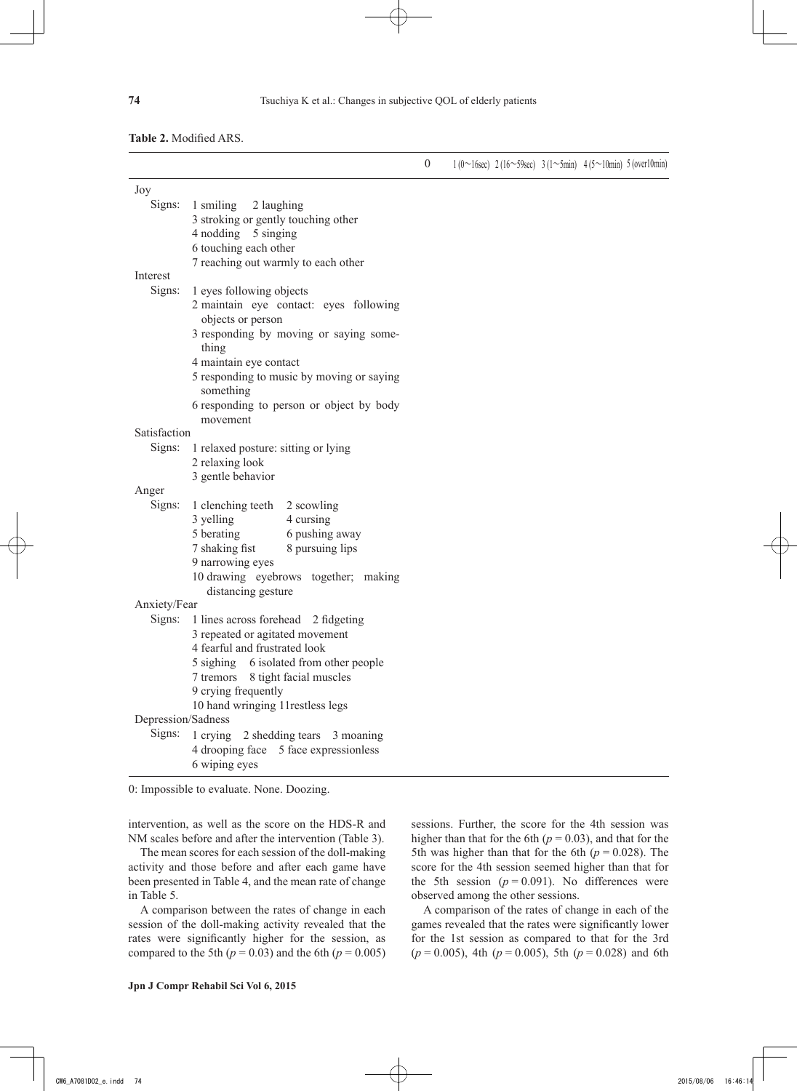## **Table 2.** Modified ARS.

|                    |                                                             | $\boldsymbol{0}$ | $1(0~16sec)$ 2(16~59sec) 3(1~5min) 4(5~10min) 5(over10min) |  |  |
|--------------------|-------------------------------------------------------------|------------------|------------------------------------------------------------|--|--|
| Joy                |                                                             |                  |                                                            |  |  |
| Signs:             | 1 smiling<br>2 laughing                                     |                  |                                                            |  |  |
|                    | 3 stroking or gently touching other                         |                  |                                                            |  |  |
|                    | 4 nodding 5 singing                                         |                  |                                                            |  |  |
|                    | 6 touching each other                                       |                  |                                                            |  |  |
|                    | 7 reaching out warmly to each other                         |                  |                                                            |  |  |
| Interest           |                                                             |                  |                                                            |  |  |
| Signs:             | 1 eyes following objects                                    |                  |                                                            |  |  |
|                    | 2 maintain eye contact: eyes following<br>objects or person |                  |                                                            |  |  |
|                    | 3 responding by moving or saying some-<br>thing             |                  |                                                            |  |  |
|                    | 4 maintain eye contact                                      |                  |                                                            |  |  |
|                    | 5 responding to music by moving or saying<br>something      |                  |                                                            |  |  |
|                    | 6 responding to person or object by body<br>movement        |                  |                                                            |  |  |
| Satisfaction       |                                                             |                  |                                                            |  |  |
| Signs:             | 1 relaxed posture: sitting or lying                         |                  |                                                            |  |  |
|                    | 2 relaxing look                                             |                  |                                                            |  |  |
|                    | 3 gentle behavior                                           |                  |                                                            |  |  |
| Anger              |                                                             |                  |                                                            |  |  |
| Signs:             | 1 clenching teeth 2 scowling                                |                  |                                                            |  |  |
|                    | 3 yelling<br>4 cursing                                      |                  |                                                            |  |  |
|                    | 5 berating<br>6 pushing away                                |                  |                                                            |  |  |
|                    | 7 shaking fist<br>8 pursuing lips                           |                  |                                                            |  |  |
|                    | 9 narrowing eyes                                            |                  |                                                            |  |  |
|                    | 10 drawing eyebrows together; making                        |                  |                                                            |  |  |
|                    | distancing gesture                                          |                  |                                                            |  |  |
| Anxiety/Fear       |                                                             |                  |                                                            |  |  |
| Signs:             | 1 lines across forehead 2 fidgeting                         |                  |                                                            |  |  |
|                    | 3 repeated or agitated movement                             |                  |                                                            |  |  |
|                    | 4 fearful and frustrated look                               |                  |                                                            |  |  |
|                    | 5 sighing 6 isolated from other people                      |                  |                                                            |  |  |
|                    | 7 tremors 8 tight facial muscles                            |                  |                                                            |  |  |
|                    | 9 crying frequently                                         |                  |                                                            |  |  |
|                    | 10 hand wringing 11 restless legs                           |                  |                                                            |  |  |
| Depression/Sadness |                                                             |                  |                                                            |  |  |
| Signs:             | 1 crying 2 shedding tears 3 moaning                         |                  |                                                            |  |  |
|                    | 4 drooping face 5 face expressionless                       |                  |                                                            |  |  |
|                    | 6 wiping eyes                                               |                  |                                                            |  |  |
|                    |                                                             |                  |                                                            |  |  |

0: Impossible to evaluate. None. Doozing.

intervention, as well as the score on the HDS-R and NM scales before and after the intervention (Table 3).

The mean scores for each session of the doll-making activity and those before and after each game have been presented in Table 4, and the mean rate of change in Table 5.

A comparison between the rates of change in each session of the doll-making activity revealed that the rates were significantly higher for the session, as compared to the 5th  $(p = 0.03)$  and the 6th  $(p = 0.005)$  sessions. Further, the score for the 4th session was higher than that for the 6th ( $p = 0.03$ ), and that for the 5th was higher than that for the 6th  $(p = 0.028)$ . The score for the 4th session seemed higher than that for the 5th session  $(p = 0.091)$ . No differences were observed among the other sessions.

A comparison of the rates of change in each of the games revealed that the rates were significantly lower for the 1st session as compared to that for the 3rd  $(p = 0.005)$ , 4th  $(p = 0.005)$ , 5th  $(p = 0.028)$  and 6th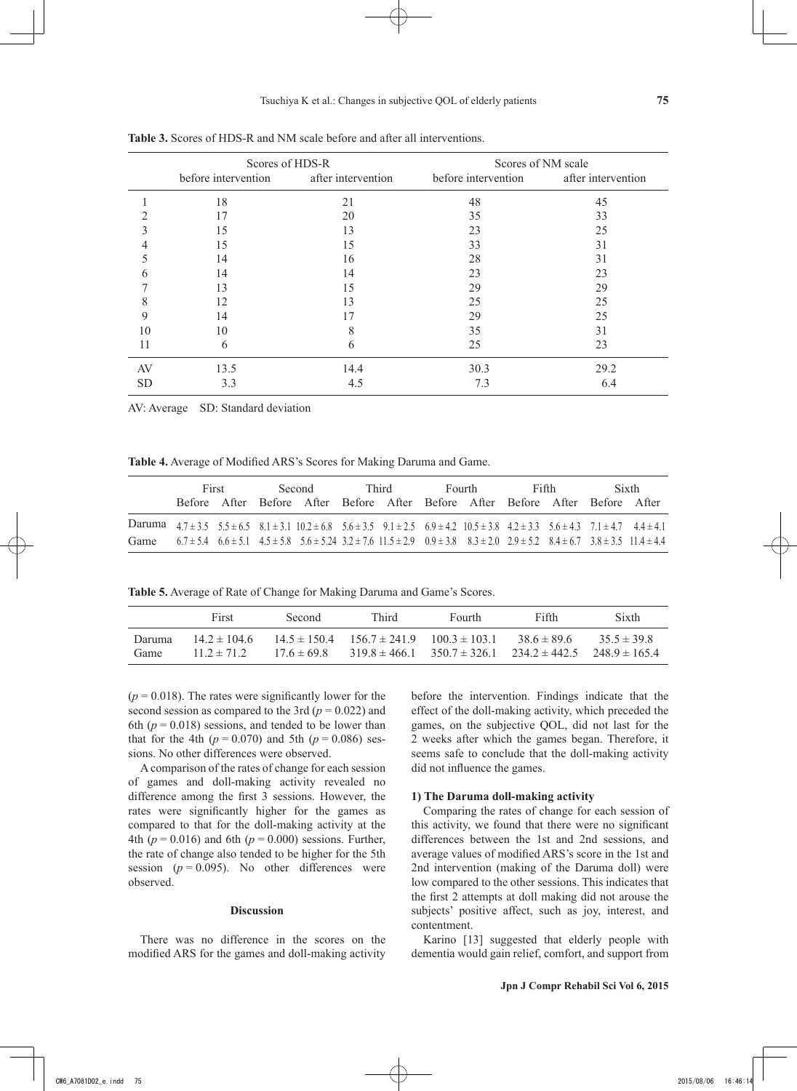|           | Scores of HDS-R                        |      | Scores of NM scale                     |      |  |  |
|-----------|----------------------------------------|------|----------------------------------------|------|--|--|
|           | before intervention after intervention |      | before intervention after intervention |      |  |  |
|           | 18                                     | 21   | 48                                     | 45   |  |  |
|           | 17                                     | 20   | 35                                     | 33   |  |  |
|           | 15                                     | 13   | 23                                     | 25   |  |  |
|           | 15                                     | 15   | 33                                     | 31   |  |  |
|           | 14                                     | 16   | 28                                     | 31   |  |  |
| h         | 14                                     | 14   | 23                                     | 23   |  |  |
|           | 13                                     | 15   | 29                                     | 29   |  |  |
| 8         | 12                                     | 13   | 25                                     | 25   |  |  |
| 9         | 14                                     | 17   | 29                                     | 25   |  |  |
| 10        | 10                                     | 8    | 35                                     | 31   |  |  |
| 11        | 6                                      | 6    | 25                                     | 23   |  |  |
| AV        | 13.5                                   | 14.4 | 30.3                                   | 29.2 |  |  |
| <b>SD</b> | 3.3                                    | 4.5  | 7.3                                    | 6.4  |  |  |

**Table 3.** Scores of HDS-R and NM scale before and after all interventions.

AV: Average SD: Standard deviation

**Table 4.** Average of Modified ARS's Scores for Making Daruma and Game.

|      | First |  | Second |                                                                                                                                                                                  | Third |  | Fourth |  | Fifth |  | Sixth |  |
|------|-------|--|--------|----------------------------------------------------------------------------------------------------------------------------------------------------------------------------------|-------|--|--------|--|-------|--|-------|--|
|      |       |  |        | Before After Before After Before After Before After Before After Before After                                                                                                    |       |  |        |  |       |  |       |  |
|      |       |  |        | Daruma $4.7 \pm 3.5$ $5.5 \pm 6.5$ $8.1 \pm 3.1$ $10.2 \pm 6.8$ $5.6 \pm 3.5$ $9.1 \pm 2.5$ $6.9 \pm 4.2$ $10.5 \pm 3.8$ $4.2 \pm 3.3$ $5.6 \pm 4.3$ $7.1 \pm 4.7$ $4.4 \pm 4.1$ |       |  |        |  |       |  |       |  |
| Game |       |  |        | $6.7 \pm 5.4$ $6.6 \pm 5.1$ $4.5 \pm 5.8$ $5.6 \pm 5.24$ $3.2 \pm 7.6$ $11.5 \pm 2.9$ $0.9 \pm 3.8$ $8.3 \pm 2.0$ $2.9 \pm 5.2$ $8.4 \pm 6.7$ $3.8 \pm 3.5$ $11.4 \pm 4.4$       |       |  |        |  |       |  |       |  |

**Table 5.** Average of Rate of Change for Making Daruma and Game's Scores.

|                | First                               | Second.       | Third                                                                                                                           | Fourth. | Fifth         | Sixth         |
|----------------|-------------------------------------|---------------|---------------------------------------------------------------------------------------------------------------------------------|---------|---------------|---------------|
| Daruma<br>Game | $14.2 \pm 104.6$<br>$11.2 \pm 71.2$ | $176 \pm 698$ | $14.5 \pm 150.4$ $156.7 \pm 241.9$ $100.3 \pm 103.1$<br>$319.8 \pm 466.1$ $350.7 \pm 326.1$ $234.2 \pm 442.5$ $248.9 \pm 165.4$ |         | $386 \pm 896$ | $355 \pm 398$ |

 $(p = 0.018)$ . The rates were significantly lower for the second session as compared to the 3rd ( $p = 0.022$ ) and 6th  $(p = 0.018)$  sessions, and tended to be lower than that for the 4th  $(p = 0.070)$  and 5th  $(p = 0.086)$  sessions. No other differences were observed.

A comparison of the rates of change for each session of games and doll-making activity revealed no difference among the first 3 sessions. However, the rates were significantly higher for the games as compared to that for the doll-making activity at the 4th ( $p = 0.016$ ) and 6th ( $p = 0.000$ ) sessions. Further, the rate of change also tended to be higher for the 5th session  $(p = 0.095)$ . No other differences were observed.

### **Discussion**

There was no difference in the scores on the modified ARS for the games and doll-making activity before the intervention. Findings indicate that the effect of the doll-making activity, which preceded the games, on the subjective QOL, did not last for the 2 weeks after which the games began. Therefore, it seems safe to conclude that the doll-making activity did not influence the games.

## **1) The Daruma doll-making activity**

Comparing the rates of change for each session of this activity, we found that there were no significant differences between the 1st and 2nd sessions, and average values of modified ARS's score in the 1st and 2nd intervention (making of the Daruma doll) were low compared to the other sessions. This indicates that the first 2 attempts at doll making did not arouse the subjects' positive affect, such as joy, interest, and contentment.

Karino [13] suggested that elderly people with dementia would gain relief, comfort, and support from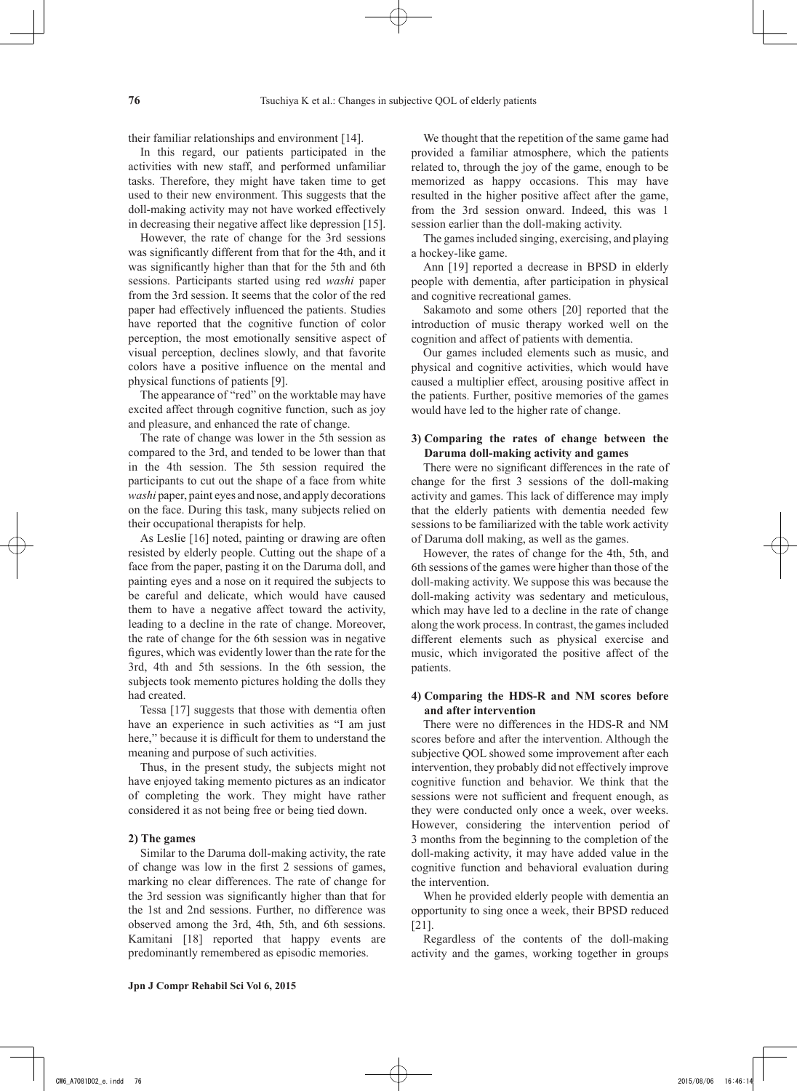their familiar relationships and environment [14].

In this regard, our patients participated in the activities with new staff, and performed unfamiliar tasks. Therefore, they might have taken time to get used to their new environment. This suggests that the doll-making activity may not have worked effectively in decreasing their negative affect like depression [15].

However, the rate of change for the 3rd sessions was significantly different from that for the 4th, and it was significantly higher than that for the 5th and 6th sessions. Participants started using red *washi* paper from the 3rd session. It seems that the color of the red paper had effectively influenced the patients. Studies have reported that the cognitive function of color perception, the most emotionally sensitive aspect of visual perception, declines slowly, and that favorite colors have a positive influence on the mental and physical functions of patients [9].

The appearance of "red" on the worktable may have excited affect through cognitive function, such as joy and pleasure, and enhanced the rate of change.

The rate of change was lower in the 5th session as compared to the 3rd, and tended to be lower than that in the 4th session. The 5th session required the participants to cut out the shape of a face from white *washi* paper, paint eyes and nose, and apply decorations on the face. During this task, many subjects relied on their occupational therapists for help.

As Leslie [16] noted, painting or drawing are often resisted by elderly people. Cutting out the shape of a face from the paper, pasting it on the Daruma doll, and painting eyes and a nose on it required the subjects to be careful and delicate, which would have caused them to have a negative affect toward the activity, leading to a decline in the rate of change. Moreover, the rate of change for the 6th session was in negative figures, which was evidently lower than the rate for the 3rd, 4th and 5th sessions. In the 6th session, the subjects took memento pictures holding the dolls they had created.

Tessa [17] suggests that those with dementia often have an experience in such activities as "I am just here," because it is difficult for them to understand the meaning and purpose of such activities.

Thus, in the present study, the subjects might not have enjoyed taking memento pictures as an indicator of completing the work. They might have rather considered it as not being free or being tied down.

#### **2) The games**

Similar to the Daruma doll-making activity, the rate of change was low in the first 2 sessions of games, marking no clear differences. The rate of change for the 3rd session was significantly higher than that for the 1st and 2nd sessions. Further, no difference was observed among the 3rd, 4th, 5th, and 6th sessions. Kamitani [18] reported that happy events are predominantly remembered as episodic memories.

We thought that the repetition of the same game had provided a familiar atmosphere, which the patients related to, through the joy of the game, enough to be memorized as happy occasions. This may have resulted in the higher positive affect after the game, from the 3rd session onward. Indeed, this was 1 session earlier than the doll-making activity.

The games included singing, exercising, and playing a hockey-like game.

Ann [19] reported a decrease in BPSD in elderly people with dementia, after participation in physical and cognitive recreational games.

Sakamoto and some others [20] reported that the introduction of music therapy worked well on the cognition and affect of patients with dementia.

Our games included elements such as music, and physical and cognitive activities, which would have caused a multiplier effect, arousing positive affect in the patients. Further, positive memories of the games would have led to the higher rate of change.

## **3) Comparing the rates of change between the Daruma doll-making activity and games**

There were no significant differences in the rate of change for the first 3 sessions of the doll-making activity and games. This lack of difference may imply that the elderly patients with dementia needed few sessions to be familiarized with the table work activity of Daruma doll making, as well as the games.

However, the rates of change for the 4th, 5th, and 6th sessions of the games were higher than those of the doll-making activity. We suppose this was because the doll-making activity was sedentary and meticulous, which may have led to a decline in the rate of change along the work process. In contrast, the games included different elements such as physical exercise and music, which invigorated the positive affect of the patients.

## **4) Comparing the HDS-R and NM scores before and after intervention**

There were no differences in the HDS-R and NM scores before and after the intervention. Although the subjective QOL showed some improvement after each intervention, they probably did not effectively improve cognitive function and behavior. We think that the sessions were not sufficient and frequent enough, as they were conducted only once a week, over weeks. However, considering the intervention period of 3 months from the beginning to the completion of the doll-making activity, it may have added value in the cognitive function and behavioral evaluation during the intervention.

When he provided elderly people with dementia an opportunity to sing once a week, their BPSD reduced [21].

Regardless of the contents of the doll-making activity and the games, working together in groups